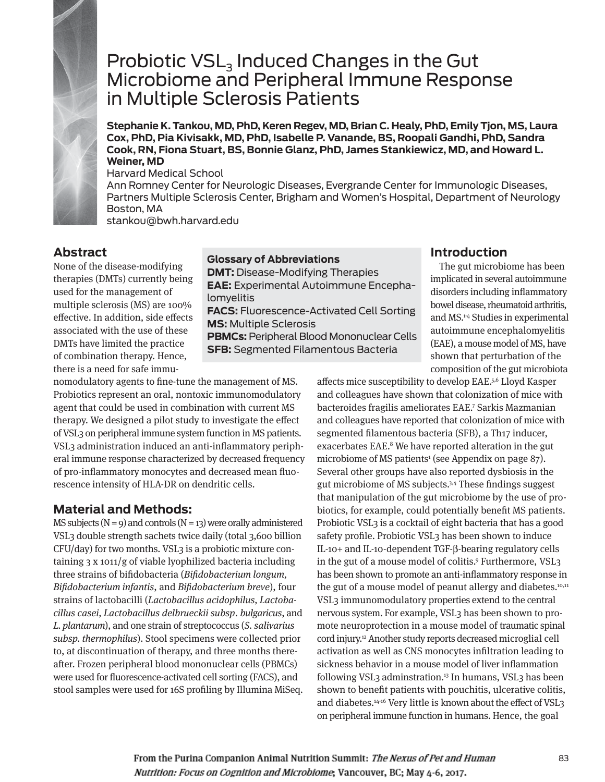

# Probiotic  $VSL<sub>3</sub>$  Induced Changes in the Gut Microbiome and Peripheral Immune Response in Multiple Sclerosis Patients

**Stephanie K. Tankou, MD, PhD, Keren Regev, MD, Brian C. Healy, PhD, Emily Tjon, MS, Laura Cox, PhD, Pia Kivisakk, MD, PhD, Isabelle P. Vanande, BS, Roopali Gandhi, PhD, Sandra Cook, RN, Fiona Stuart, BS, Bonnie Glanz, PhD, James Stankiewicz, MD, and Howard L. Weiner, MD** 

Harvard Medical School

Ann Romney Center for Neurologic Diseases, Evergrande Center for Immunologic Diseases, Partners Multiple Sclerosis Center, Brigham and Women's Hospital, Department of Neurology Boston, MA stankou@bwh.harvard.edu

## **Abstract**

None of the disease-modifying therapies (DMTs) currently being used for the management of multiple sclerosis (MS) are 100% effective. In addition, side effects associated with the use of these DMTs have limited the practice of combination therapy. Hence, there is a need for safe immu-

#### **Glossary of Abbreviations**

**DMT:** Disease-Modifying Therapies **EAE:** Experimental Autoimmune Encephalomyelitis **FACS:** Fluorescence-Activated Cell Sorting **MS:** Multiple Sclerosis

**PBMCs:** Peripheral Blood Mononuclear Cells **SFB:** Segmented Filamentous Bacteria

## **Introduction**

The gut microbiome has been implicated in several autoimmune disorders including inflammatory bowel disease, rheumatoid arthritis, and MS.1-4 Studies in experimental autoimmune encephalomyelitis (EAE), a mouse model of MS, have shown that perturbation of the composition of the gut microbiota

nomodulatory agents to fine-tune the management of MS. Probiotics represent an oral, nontoxic immunomodulatory agent that could be used in combination with current MS therapy. We designed a pilot study to investigate the effect of VSL3 on peripheral immune system function in MS patients. VSL3 administration induced an anti-inflammatory peripheral immune response characterized by decreased frequency of pro-inflammatory monocytes and decreased mean fluorescence intensity of HLA-DR on dendritic cells.

# **Material and Methods:**

MS subjects  $(N = 9)$  and controls  $(N = 13)$  were orally administered VSL3 double strength sachets twice daily (total 3,600 billion CFU/day) for two months. VSL3 is a probiotic mixture containing 3 x 1011/g of viable lyophilized bacteria including three strains of bifidobacteria (Bifidobacterium longum, Bifidobacterium infantis, and Bifidobacterium breve), four strains of lactobacilli (Lactobacillus acidophilus, Lactobacillus casei, Lactobacillus delbrueckii subsp. bulgaricus, and L. plantarum), and one strain of streptococcus (S. salivarius subsp. thermophilus). Stool specimens were collected prior to, at discontinuation of therapy, and three months thereafter. Frozen peripheral blood mononuclear cells (PBMCs) were used for fluorescence-activated cell sorting (FACS), and stool samples were used for 16S profiling by Illumina MiSeq. affects mice susceptibility to develop EAE.5,6 Lloyd Kasper and colleagues have shown that colonization of mice with bacteroides fragilis ameliorates EAE.7 Sarkis Mazmanian and colleagues have reported that colonization of mice with segmented filamentous bacteria (SFB), a Th17 inducer, exacerbates EAE.8 We have reported alteration in the gut microbiome of MS patients1 (see Appendix on page 87). Several other groups have also reported dysbiosis in the gut microbiome of MS subjects.3,4 These findings suggest that manipulation of the gut microbiome by the use of probiotics, for example, could potentially benefit MS patients. Probiotic VSL3 is a cocktail of eight bacteria that has a good safety profile. Probiotic VSL<sub>3</sub> has been shown to induce IL-10+ and IL-10-dependent TGF-β-bearing regulatory cells in the gut of a mouse model of colitis.9 Furthermore, VSL3 has been shown to promote an anti-inflammatory response in the gut of a mouse model of peanut allergy and diabetes.<sup>10,11</sup> VSL3 immunomodulatory properties extend to the central nervous system. For example, VSL3 has been shown to promote neuroprotection in a mouse model of traumatic spinal cord injury.12 Another study reports decreased microglial cell activation as well as CNS monocytes infiltration leading to sickness behavior in a mouse model of liver inflammation following VSL3 adminstration.13 In humans, VSL3 has been shown to benefit patients with pouchitis, ulcerative colitis, and diabetes.<sup>14-16</sup> Very little is known about the effect of VSL3 on peripheral immune function in humans. Hence, the goal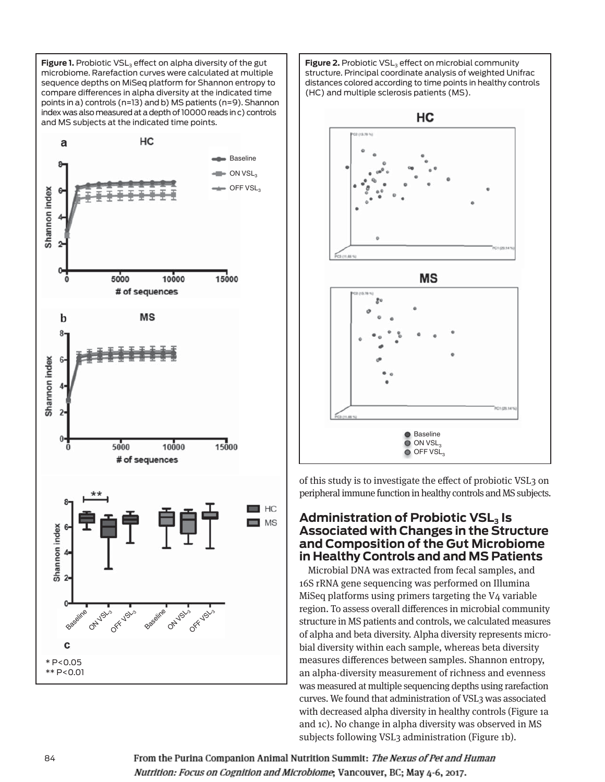**Figure 1.** Probiotic VSL<sub>3</sub> effect on alpha diversity of the gut microbiome. Rarefaction curves were calculated at multiple sequence depths on MiSeq platform for Shannon entropy to compare differences in alpha diversity at the indicated time points in a) controls (n=13) and b) MS patients (n=9). Shannon index was also measured at a depth of 10000 reads in c) controls and MS subjects at the indicated time points.



**Figure 2.** Probiotic VSL<sub>3</sub> effect on microbial community structure. Principal coordinate analysis of weighted Unifrac distances colored according to time points in healthy controls (HC) and multiple sclerosis patients (MS).



of this study is to investigate the effect of probiotic VSL3 on peripheral immune function in healthy controls and MS subjects.

#### **Administration of Probiotic VSL3 Is Associated with Changes in the Structure and Composition of the Gut Microbiome in Healthy Controls and and MS Patients**

Microbial DNA was extracted from fecal samples, and 16S rRNA gene sequencing was performed on Illumina MiSeq platforms using primers targeting the V4 variable region. To assess overall differences in microbial community structure in MS patients and controls, we calculated measures of alpha and beta diversity. Alpha diversity represents microbial diversity within each sample, whereas beta diversity measures differences between samples. Shannon entropy, an alpha-diversity measurement of richness and evenness was measured at multiple sequencing depths using rarefaction curves. We found that administration of VSL3 was associated with decreased alpha diversity in healthy controls (Figure 1a and 1c). No change in alpha diversity was observed in MS subjects following VSL3 administration (Figure 1b).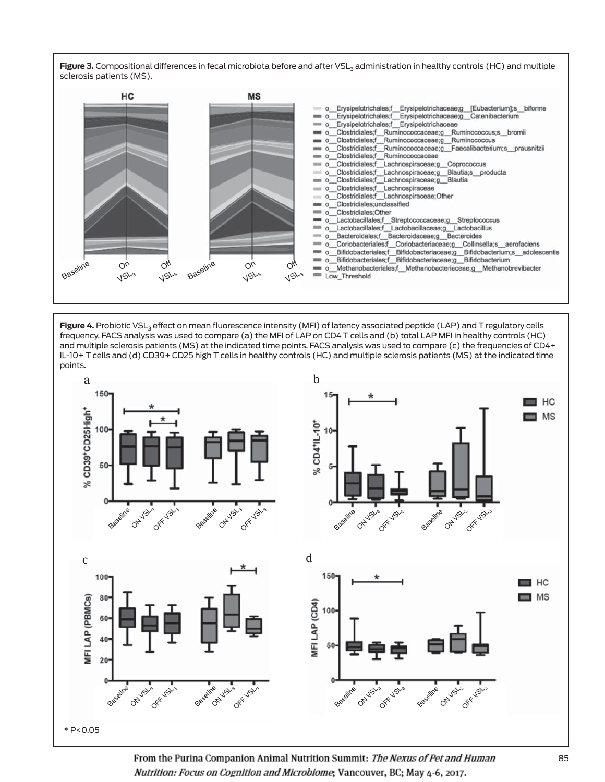



Figure 4. Probiotic VSL<sub>3</sub> effect on mean fluorescence intensity (MFI) of latency associated peptide (LAP) and T regulatory cells frequency. FACS analysis was used to compare (a) the MFI of LAP on CD4 T cells and (b) total LAP MFI in healthy controls (HC) and multiple sclerosis patients (MS) at the indicated time points. FACS analysis was used to compare (c) the frequencies of CD4+ IL-10+ T cells and (d) CD39+ CD25 high T cells in healthy controls (HC) and multiple sclerosis patients (MS) at the indicated time points.

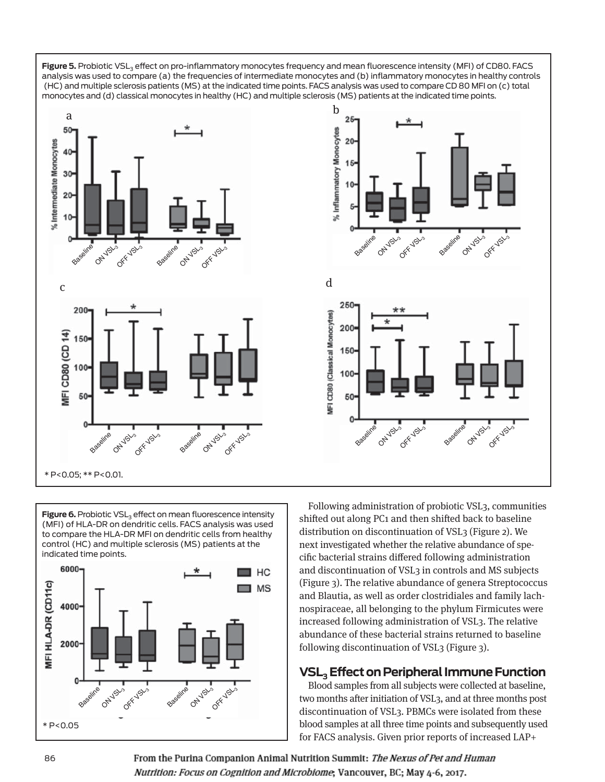

**Figure 6.** Probiotic VSL<sub>3</sub> effect on mean fluorescence intensity (MFI) of HLA-DR on dendritic cells. FACS analysis was used to compare the HLA-DR MFI on dendritic cells from healthy control (HC) and multiple sclerosis (MS) patients at the indicated time points.



Following administration of probiotic VSL3, communities shifted out along PC1 and then shifted back to baseline distribution on discontinuation of VSL3 (Figure 2). We next investigated whether the relative abundance of specific bacterial strains differed following administration and discontinuation of VSL3 in controls and MS subjects (Figure 3). The relative abundance of genera Streptococcus and Blautia, as well as order clostridiales and family lachnospiraceae, all belonging to the phylum Firmicutes were increased following administration of VSL3. The relative abundance of these bacterial strains returned to baseline following discontinuation of VSL3 (Figure 3).

# **VSL3 Effect on Peripheral Immune Function**

Blood samples from all subjects were collected at baseline, two months after initiation of VSL3, and at three months post discontinuation of VSL3. PBMCs were isolated from these blood samples at all three time points and subsequently used for FACS analysis. Given prior reports of increased LAP+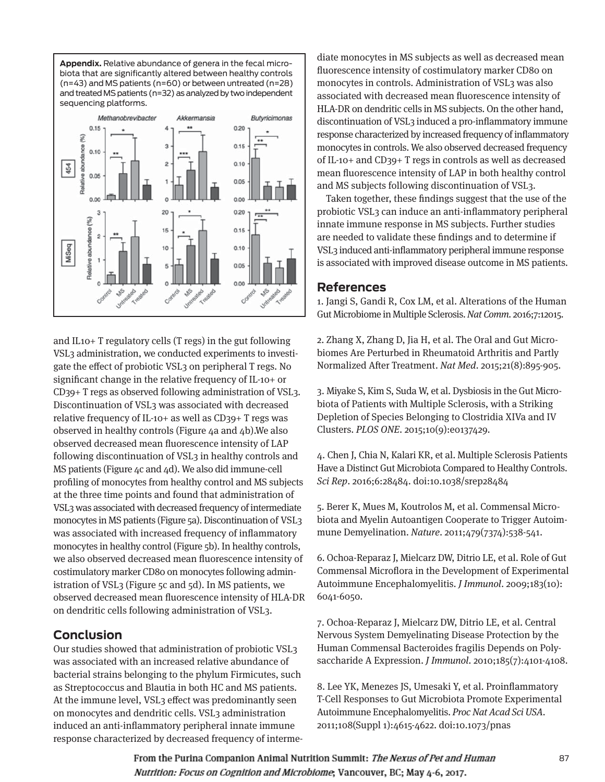



and IL10+ T regulatory cells (T regs) in the gut following VSL3 administration, we conducted experiments to investigate the effect of probiotic VSL3 on peripheral T regs. No significant change in the relative frequency of IL-10+ or CD39+ T regs as observed following administration of VSL3. Discontinuation of VSL3 was associated with decreased relative frequency of IL-10+ as well as CD39+ T regs was observed in healthy controls (Figure 4a and 4b).We also observed decreased mean fluorescence intensity of LAP following discontinuation of VSL3 in healthy controls and MS patients (Figure 4c and 4d). We also did immune-cell profiling of monocytes from healthy control and MS subjects at the three time points and found that administration of VSL3 was associated with decreased frequency of intermediate monocytes in MS patients (Figure 5a). Discontinuation of VSL3 was associated with increased frequency of inflammatory monocytes in healthy control (Figure 5b). In healthy controls, we also observed decreased mean fluorescence intensity of costimulatory marker CD80 on monocytes following administration of VSL3 (Figure 5c and 5d). In MS patients, we observed decreased mean fluorescence intensity of HLA-DR on dendritic cells following administration of VSL3.

## **Conclusion**

Our studies showed that administration of probiotic VSL3 was associated with an increased relative abundance of bacterial strains belonging to the phylum Firmicutes, such as Streptococcus and Blautia in both HC and MS patients. At the immune level, VSL3 effect was predominantly seen on monocytes and dendritic cells. VSL3 administration induced an anti-inflammatory peripheral innate immune response characterized by decreased frequency of interme-

diate monocytes in MS subjects as well as decreased mean fluorescence intensity of costimulatory marker CD80 on monocytes in controls. Administration of VSL3 was also associated with decreased mean fluorescence intensity of HLA-DR on dendritic cells in MS subjects. On the other hand, discontinuation of VSL3 induced a pro-inflammatory immune response characterized by increased frequency of inflammatory monocytes in controls. We also observed decreased frequency of IL-10+ and CD39+ T regs in controls as well as decreased mean fluorescence intensity of LAP in both healthy control and MS subjects following discontinuation of VSL3.

Taken together, these findings suggest that the use of the probiotic VSL3 can induce an anti-inflammatory peripheral innate immune response in MS subjects. Further studies are needed to validate these findings and to determine if VSL3 induced anti-inflammatory peripheral immune response is associated with improved disease outcome in MS patients.

#### **References**

1. Jangi S, Gandi R, Cox LM, et al. Alterations of the Human Gut Microbiome in Multiple Sclerosis. Nat Comm. 2016;7:12015.

2. Zhang X, Zhang D, Jia H, et al. The Oral and Gut Microbiomes Are Perturbed in Rheumatoid Arthritis and Partly Normalized After Treatment. Nat Med. 2015;21(8):895-905.

3. Miyake S, Kim S, Suda W, et al. Dysbiosis in the Gut Microbiota of Patients with Multiple Sclerosis, with a Striking Depletion of Species Belonging to Clostridia XIVa and IV Clusters. PLOS ONE. 2015;10(9):e0137429.

4. Chen J, Chia N, Kalari KR, et al. Multiple Sclerosis Patients Have a Distinct Gut Microbiota Compared to Healthy Controls. Sci Rep. 2016;6:28484. doi:10.1038/srep28484

5. Berer K, Mues M, Koutrolos M, et al. Commensal Microbiota and Myelin Autoantigen Cooperate to Trigger Autoimmune Demyelination. Nature. 2011;479(7374):538-541.

6. Ochoa-Reparaz J, Mielcarz DW, Ditrio LE, et al. Role of Gut Commensal Microflora in the Development of Experimental Autoimmune Encephalomyelitis. J Immunol. 2009;183(10): 6041-6050.

7. Ochoa-Reparaz J, Mielcarz DW, Ditrio LE, et al. Central Nervous System Demyelinating Disease Protection by the Human Commensal Bacteroides fragilis Depends on Polysaccharide A Expression. J Immunol. 2010;185(7):4101-4108.

8. Lee YK, Menezes JS, Umesaki Y, et al. Proinflammatory T-Cell Responses to Gut Microbiota Promote Experimental Autoimmune Encephalomyelitis. Proc Nat Acad Sci USA. 2011;108(Suppl 1):4615-4622. doi:10.1073/pnas